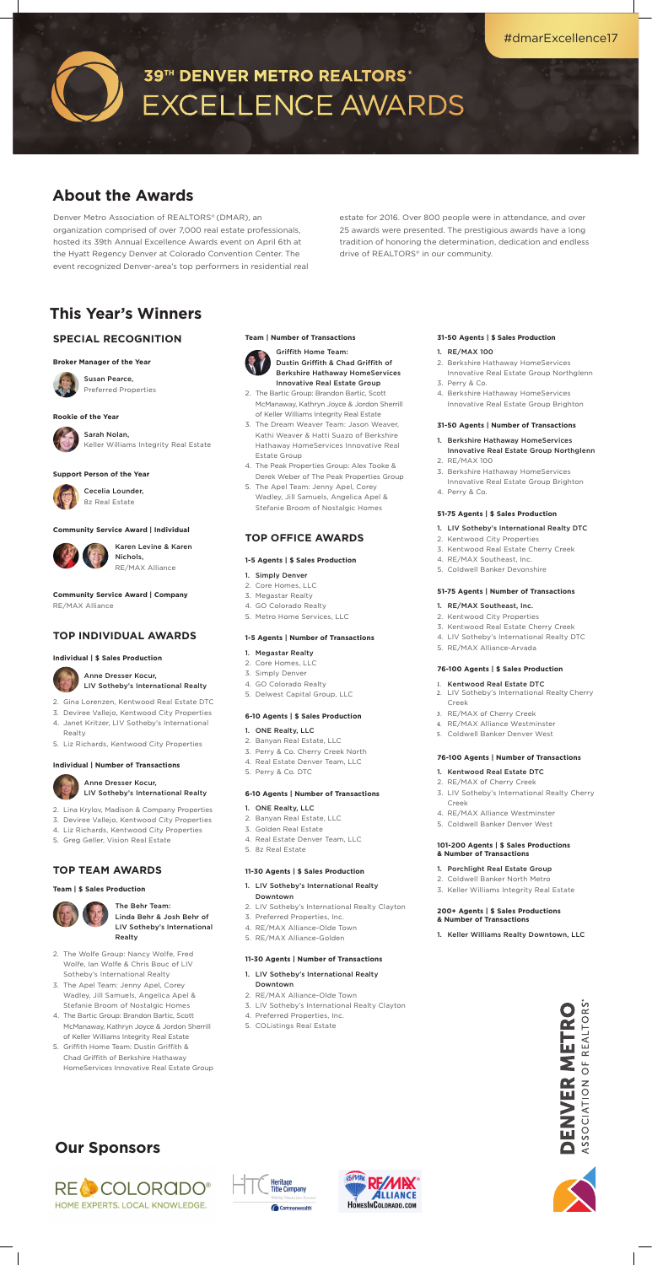Denver Metro Association of REALTORS® (DMAR), an organization comprised of over 7,000 real estate professionals, hosted its 39th Annual Excellence Awards event on April 6th at the Hyatt Regency Denver at Colorado Convention Center. The event recognized Denver-area's top performers in residential real estate for 2016. Over 800 people were in attendance, and over 25 awards were presented. The prestigious awards have a long tradition of honoring the determination, dedication and endless drive of REALTORS® in our community.

# **About the Awards**

### **SPECIAL RECOGNITION**

### **Broker Manager of the Year**



Susan Pearce, Preferred Properties

### **Rookie of the Year**



### Sarah Nolan, Keller Williams Integrity Real Estate

### **Support Person of the Year**



### Cecelia Lounder, 8z Real Estate

### **Community Service Award | Individual**



Karen Levine & Karen Nichols, RE/MAX Alliance

**Community Service Award | Company** RE/MAX Alliance

### **TOP INDIVIDUAL AWARDS**

### **Individual | \$ Sales Production**



Anne Dresser Kocur, LIV Sotheby's International Realty Griffith Home Team: Dustin Griffith & Chad Griffith of Berkshire Hathaway HomeServices Innovative Real Estate Group

- 2. Gina Lorenzen, Kentwood Real Estate DTC
- 3. Deviree Vallejo, Kentwood City Properties
- 4. Janet Kritzer, LIV Sotheby's International Realty
- 5. Liz Richards, Kentwood City Properties

### **Individual | Number of Transactions**

### Anne Dresser Kocur, LIV Sotheby's International Realty

- 2. Lina Krylov, Madison & Company Properties
- 3. Deviree Vallejo, Kentwood City Properties
- 4. Liz Richards, Kentwood City Properties
- 5. Greg Geller, Vision Real Estate

### **TOP TEAM AWARDS**

### **Team | \$ Sales Production**



The Behr Team: Linda Behr & Josh Behr of LIV Sotheby's International Realty

- 2. The Wolfe Group: Nancy Wolfe, Fred Wolfe, Ian Wolfe & Chris Bouc of LIV Sotheby's International Realty
- 3. The Apel Team: Jenny Apel, Corey Wadley, Jill Samuels, Angelica Apel & Stefanie Broom of Nostalgic Homes
- 4. The Bartic Group: Brandon Bartic, Scott McManaway, Kathryn Joyce & Jordon Sherrill of Keller Williams Integrity Real Estate
- 5. Griffith Home Team: Dustin Griffith & Chad Griffith of Berkshire Hathaway HomeServices Innovative Real Estate Group

### **Team | Number of Transactions**



- 2. The Bartic Group: Brandon Bartic, Scott McManaway, Kathryn Joyce & Jordon Sherrill of Keller Williams Integrity Real Estate
- 3. The Dream Weaver Team: Jason Weaver, Kathi Weaver & Hatti Suazo of Berkshire Hathaway HomeServices Innovative Real Estate Group
- 4. The Peak Properties Group: Alex Tooke & Derek Weber of The Peak Properties Group
- 5. The Apel Team: Jenny Apel, Corey Wadley, Jill Samuels, Angelica Apel & Stefanie Broom of Nostalgic Homes

### **TOP OFFICE AWARDS**

### **1-5 Agents | \$ Sales Production**

### 1. Simply Denver

- 2. Core Homes, LLC
- 3. Megastar Realty
- 4. GO Colorado Realty
- 5. Metro Home Services, LLC

### **1-5 Agents | Number of Transactions**

- 1. Megastar Realty
- 2. Core Homes, LLC
- 3. Simply Denver
- 4. GO Colorado Realty
- 5. Delwest Capital Group, LLC

### **6-10 Agents | \$ Sales Production**

### 1. ONE Realty, LLC

- 2. Banyan Real Estate, LLC
- 3. Perry & Co. Cherry Creek North
- 4. Real Estate Denver Team, LLC
- 5. Perry & Co. DTC

### **6-10 Agents | Number of Transactions**

- 1. ONE Realty, LLC
- 2. Banyan Real Estate, LLC
- 3. Golden Real Estate
- 4. Real Estate Denver Team, LLC
- 5. 8z Real Estate

### **11-30 Agents | \$ Sales Production**

- 1. LIV Sotheby's International Realty **Downtown**
- 2. LIV Sotheby's International Realty Clayton
- 3. Preferred Properties, Inc.
- 4. RE/MAX Alliance-Olde Town
- 5. RE/MAX Alliance-Golden

### **11-30 Agents | Number of Transactions**

- 1. LIV Sotheby's International Realty Downtown
- 2. RE/MAX Alliance-Olde Town
- 3. LIV Sotheby's International Realty Clayton
- 4. Preferred Properties, Inc.
- 5. COListings Real Estate

### **31-50 Agents | \$ Sales Production**

### 1. RE/MAX 100

- 2. Berkshire Hathaway HomeServices Innovative Real Estate Group Northglenn
- 3. Perry & Co.
- 4. Berkshire Hathaway HomeServices Innovative Real Estate Group Brighton

### **31-50 Agents | Number of Transactions**

- 1. Berkshire Hathaway HomeServices Innovative Real Estate Group Northglenn
- 2. RE/MAX 100
- 3. Berkshire Hathaway HomeServices Innovative Real Estate Group Brighton
- 4. Perry & Co.

### **51-75 Agents | \$ Sales Production**

### 1. LIV Sotheby's International Realty DTC

- 2. Kentwood City Properties
- 3. Kentwood Real Estate Cherry Creek
- 4. RE/MAX Southeast, Inc.
- 5. Coldwell Banker Devonshire

### **51-75 Agents | Number of Transactions**

### 1. RE/MAX Southeast, Inc.

- 2. Kentwood City Properties
- 3. Kentwood Real Estate Cherry Creek
- 4. LIV Sotheby's International Realty DTC
- 5. RE/MAX Alliance-Arvada

### **76-100 Agents | \$ Sales Production**

### 1. Kentwood Real Estate DTC

- 2. LIV Sotheby's International Realty Cherry Creek
- 3. RE/MAX of Cherry Creek
- 4. RE/MAX Alliance Westminster
- 5. Coldwell Banker Denver West

### **76-100 Agents | Number of Transactions**

1. Kentwood Real Estate DTC



- 2. RE/MAX of Cherry Creek
- 3. LIV Sotheby's International Realty Cherry Creek
- 4. RE/MAX Alliance Westminster
- 5. Coldwell Banker Denver West

### **101-200 Agents | \$ Sales Productions & Number of Transactions**

### 1. Porchlight Real Estate Group

- 2. Coldwell Banker North Metro
- 3. Keller Williams Integrity Real Estate

### **200+ Agents | \$ Sales Productions & Number of Transactions**

1. Keller Williams Realty Downtown, LLC



# **This Year's Winners**

## **Our Sponsors**







# 39TH DENVER METRO REALTORS® **EXCELLENCE AWARDS**